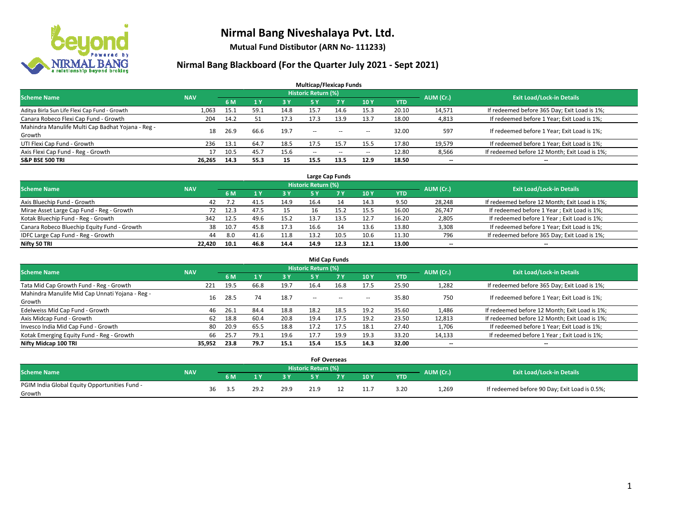

**Mutual Fund Distibutor (ARN No- 111233)**

| <b>Multicap/Flexicap Funds</b>                    |            |      |           |            |                            |            |            |            |           |                                               |  |  |  |  |
|---------------------------------------------------|------------|------|-----------|------------|----------------------------|------------|------------|------------|-----------|-----------------------------------------------|--|--|--|--|
| <b>Scheme Name</b>                                | <b>NAV</b> |      |           |            | <b>Historic Return (%)</b> |            |            |            | AUM (Cr.) | <b>Exit Load/Lock-in Details</b>              |  |  |  |  |
|                                                   |            | 6 M  | <b>1Y</b> | <b>3 Y</b> | 5 Y                        | <b>7 Y</b> | <b>10Y</b> | <b>YTD</b> |           |                                               |  |  |  |  |
| Aditya Birla Sun Life Flexi Cap Fund - Growth     | 1,063      | 15.1 | 59.1      | 14.8       | 15.7                       | 14.6       | 15.3       | 20.10      | 14,571    | If redeemed before 365 Day; Exit Load is 1%;  |  |  |  |  |
| Canara Robeco Flexi Cap Fund - Growth             | 204        | 14.2 | 51        | 17.3       | 17.3                       | 13.9       | 13.7       | 18.00      | 4,813     | If redeemed before 1 Year; Exit Load is 1%;   |  |  |  |  |
| Mahindra Manulife Multi Cap Badhat Yojana - Reg - | 18         | 26.9 | 66.6      | 19.7       | $\overline{\phantom{a}}$   |            |            | 32.00      | 597       | If redeemed before 1 Year; Exit Load is 1%;   |  |  |  |  |
| Growth                                            |            |      |           |            |                            | $- -$      | --         |            |           |                                               |  |  |  |  |
| UTI Flexi Cap Fund - Growth                       | 236        | 13.1 | 64.7      | 18.5       | 17.5                       | 15.7       | 15.5       | 17.80      | 19,579    | If redeemed before 1 Year; Exit Load is 1%;   |  |  |  |  |
| Axis Flexi Cap Fund - Reg - Growth                |            | 10.5 | 45.7      | 15.6       | $\overline{\phantom{a}}$   | $\sim$     | $- -$      | 12.80      | 8,566     | If redeemed before 12 Month; Exit Load is 1%; |  |  |  |  |
| <b>S&amp;P BSE 500 TRI</b>                        | 26.265     | 14.3 | 55.3      | 15         | 15.5                       | 13.5       | 12.9       | 18.50      | --        | $\overline{\phantom{a}}$                      |  |  |  |  |

|                                             |            |      |      |      |                            | Large Cap Funds |      |            |           |                                               |
|---------------------------------------------|------------|------|------|------|----------------------------|-----------------|------|------------|-----------|-----------------------------------------------|
| <b>Scheme Name</b>                          | <b>NAV</b> |      |      |      | <b>Historic Return (%)</b> |                 |      |            | AUM (Cr.) | <b>Exit Load/Lock-in Details</b>              |
|                                             |            | 6 M  |      | 3 Y  |                            | <b>7 Y</b>      | 10Y  | <b>YTD</b> |           |                                               |
| Axis Bluechip Fund - Growth                 | 42         | 7.2  | 41.5 | 14.9 | 16.4                       | 14              | 14.3 | 9.50       | 28,248    | If redeemed before 12 Month; Exit Load is 1%; |
| Mirae Asset Large Cap Fund - Reg - Growth   | 72         | 12.3 | 47.5 | 15   | 16                         |                 | 15.5 | 16.00      | 26,747    | If redeemed before 1 Year; Exit Load is 1%;   |
| Kotak Bluechip Fund - Reg - Growth          | 342        | 12.5 | 49.6 | 15.2 | 13.7                       | 13.5            | 12.7 | 16.20      | 2,805     | If redeemed before 1 Year; Exit Load is 1%;   |
| Canara Robeco Bluechip Equity Fund - Growth | 38         | 10.7 | 45.8 | 17.3 | 16.6                       |                 | 13.6 | 13.80      | 3,308     | If redeemed before 1 Year; Exit Load is 1%;   |
| IDFC Large Cap Fund - Reg - Growth          | 44         | 8.0  | 41.6 | 11.8 | 13.2                       | 10.5            | 10.6 | 11.30      | 796       | If redeemed before 365 Day; Exit Load is 1%;  |
| Nifty 50 TRI                                | 22.420     | 10.1 | 46.8 | 14.4 | 14.9                       | 12.3            | 12.1 | 13.00      | $- -$     | $\overline{\phantom{a}}$                      |

| <b>Mid Cap Funds</b>                            |            |           |      |      |                     |           |                          |            |           |                                               |  |  |  |  |
|-------------------------------------------------|------------|-----------|------|------|---------------------|-----------|--------------------------|------------|-----------|-----------------------------------------------|--|--|--|--|
| <b>Scheme Name</b>                              | <b>NAV</b> |           |      |      | Historic Return (%) |           |                          |            | AUM (Cr.) | <b>Exit Load/Lock-in Details</b>              |  |  |  |  |
|                                                 |            | <b>6M</b> |      | 3 Y  | <b>5 Y</b>          | <b>7Y</b> | 10Y                      | <b>YTD</b> |           |                                               |  |  |  |  |
| Tata Mid Cap Growth Fund - Reg - Growth         | 221        | 19.5      | 66.8 | 19.7 | 16.4                | 16.8      | 17.5                     | 25.90      | 1,282     | If redeemed before 365 Day; Exit Load is 1%;  |  |  |  |  |
| Mahindra Manulife Mid Cap Unnati Yojana - Reg - | 16         | 28.5      | 74   | 18.7 | $-$                 | $\sim$    | $\overline{\phantom{a}}$ | 35.80      | 750       | If redeemed before 1 Year; Exit Load is 1%;   |  |  |  |  |
| Growth                                          |            |           |      |      |                     |           |                          |            |           |                                               |  |  |  |  |
| Edelweiss Mid Cap Fund - Growth                 | 46         | 26.1      | 84.4 | 18.8 | 18.2                | 18.5      | 19.2                     | 35.60      | 1,486     | If redeemed before 12 Month; Exit Load is 1%; |  |  |  |  |
| Axis Midcap Fund - Growth                       | 62         | 18.8      | 60.4 | 20.8 | 19.4                | 17.5      | 19.2                     | 23.50      | 12,813    | If redeemed before 12 Month; Exit Load is 1%; |  |  |  |  |
| Invesco India Mid Cap Fund - Growth             | 80         | 20.9      | 65.5 | 18.8 | 17.2                | 17.5      | 18.1                     | 27.40      | 1,706     | If redeemed before 1 Year; Exit Load is 1%;   |  |  |  |  |
| Kotak Emerging Equity Fund - Reg - Growth       | 66         | 25.7      | 79.1 | 19.6 | 17.7                | 19.9      | 19.3                     | 33.20      | 14,133    | If redeemed before 1 Year; Exit Load is 1%;   |  |  |  |  |
| Nifty Midcap 100 TRI                            | 35.952     | 23.8      | 79.7 | 15.1 | 15.4                | 15.5      | 14.3                     | 32.00      | $- -$     | $\overline{\phantom{a}}$                      |  |  |  |  |

|                                               |            |    |     |      |      |                            | <b>FoF Overseas</b> |                 |            |           |                                               |
|-----------------------------------------------|------------|----|-----|------|------|----------------------------|---------------------|-----------------|------------|-----------|-----------------------------------------------|
| Scheme Name                                   | <b>NAV</b> |    |     |      |      | <b>Historic Return (%)</b> |                     |                 |            |           | <b>Exit Load/Lock-in Details</b>              |
|                                               |            |    | 6 M |      | зv   |                            | ע ל                 | 10 <sub>Y</sub> | <b>YTD</b> | AUM (Cr.) |                                               |
| PGIM India Global Equity Opportunities Fund - |            | 36 | 3.5 | 29.2 | 29.9 | າ1 Q                       |                     | 11.7            | 3.20       | 1,269     | If redeemed before 90 Day; Exit Load is 0.5%; |
| Growth                                        |            |    |     |      |      |                            |                     |                 |            |           |                                               |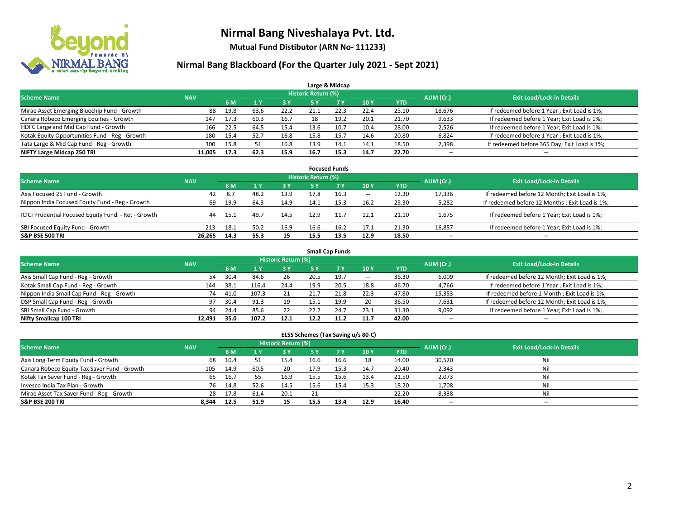

**Mutual Fund Distibutor (ARN No- 111233)**

### **Nirmal Bang Blackboard (For the Quarter July 2021 - Sept 2021)**

|                                                |            |      |      |      |                            | Large & Midcap |      |            |           |                                              |
|------------------------------------------------|------------|------|------|------|----------------------------|----------------|------|------------|-----------|----------------------------------------------|
| <b>Scheme Name</b>                             | <b>NAV</b> |      |      |      | <b>Historic Return (%)</b> |                |      |            | AUM (Cr.) | <b>Exit Load/Lock-in Details</b>             |
|                                                |            | 6 M  |      | 3 Y  | <b>5 Y</b>                 | <b>7Y</b>      | 10Y  | <b>YTD</b> |           |                                              |
| Mirae Asset Emerging Bluechip Fund - Growth    | 88         | 19.8 | 63.6 | 22.2 | 21.1                       | 22.3           | 22.4 | 25.10      | 18,676    | If redeemed before 1 Year; Exit Load is 1%;  |
| Canara Robeco Emerging Equities - Growth       | 147        | 17.3 | 60.3 | 16.7 | 18                         | 19.2           | 20.1 | 21.70      | 9,633     | If redeemed before 1 Year; Exit Load is 1%;  |
| HDFC Large and Mid Cap Fund - Growth           | 166        | 22.5 | 64.5 | 15.4 | 13.6                       | 10.7           | 10.4 | 28.00      | 2,526     | If redeemed before 1 Year; Exit Load is 1%;  |
| Kotak Equity Opportunities Fund - Reg - Growth | 180        | 15.4 | 52.7 | 16.8 | 15.8                       | 15.7           | 14.6 | 20.80      | 6,824     | If redeemed before 1 Year; Exit Load is 1%;  |
| Tata Large & Mid Cap Fund - Reg - Growth       | 300        | 15.8 |      | 16.8 | 13.9                       | 14.1           | 14.1 | 18.50      | 2,398     | If redeemed before 365 Day; Exit Load is 1%; |
| NIFTY Large Midcap 250 TRI                     | 11.005     | 17.3 | 62.3 | 15.9 | 16.7                       | 15.3           | 14.7 | 22.70      | $- -$     | $\overline{\phantom{a}}$                     |

| <b>Focused Funds</b>                                |            |      |                  |      |                     |           |                          |       |                          |                                                 |  |  |  |  |
|-----------------------------------------------------|------------|------|------------------|------|---------------------|-----------|--------------------------|-------|--------------------------|-------------------------------------------------|--|--|--|--|
| <b>Scheme Name</b>                                  | <b>NAV</b> |      |                  |      | Historic Return (%) |           |                          |       | AUM (Cr.)                | <b>Exit Load/Lock-in Details</b>                |  |  |  |  |
|                                                     |            | 6 M  |                  | 73 Y | 5 Y                 | <b>7Y</b> | 10Y                      | YTD   |                          |                                                 |  |  |  |  |
| Axis Focused 25 Fund - Growth                       | 42         | 8.7  | 48. <sup>~</sup> | 13.9 | 17.8                | 16.3      | $\overline{\phantom{a}}$ | 12.30 | 17,336                   | If redeemed before 12 Month; Exit Load is 1%;   |  |  |  |  |
| Nippon India Focused Equity Fund - Reg - Growth     | 69         | 19.9 | 64.3             | 14.9 | 14.1                | 15.3      | 16.2                     | 25.30 | 5,282                    | If redeemed before 12 Months ; Exit Load is 1%; |  |  |  |  |
| ICICI Prudential Focused Equity Fund - Ret - Growth | 44         | 15.1 | 49.7             | 14.5 | 12.9                | 11.7      | 12.1                     | 21.10 | 1,675                    | If redeemed before 1 Year; Exit Load is 1%;     |  |  |  |  |
| SBI Focused Equity Fund - Growth                    | 213        | 18.1 | 50.2             | 16.9 | 16.6                | 16.2      | 17.1                     | 21.30 | 16,857                   | If redeemed before 1 Year; Exit Load is 1%;     |  |  |  |  |
| <b>S&amp;P BSE 500 TRI</b>                          | 26.265     | 14.3 | 55.3             | 15   | 15.5                | 13.5      | 12.9                     | 18.50 | $\overline{\phantom{a}}$ | --                                              |  |  |  |  |

| <b>Small Cap Funds</b>                     |            |      |       |                     |      |           |            |            |           |                                               |  |  |  |  |
|--------------------------------------------|------------|------|-------|---------------------|------|-----------|------------|------------|-----------|-----------------------------------------------|--|--|--|--|
| <b>Scheme Name</b>                         | <b>NAV</b> |      |       | Historic Return (%) |      |           |            |            | AUM (Cr.) | <b>Exit Load/Lock-in Details</b>              |  |  |  |  |
|                                            |            | 6 M  |       | 3 Y                 | 5 Y  | <b>7Y</b> | <b>10Y</b> | <b>YTD</b> |           |                                               |  |  |  |  |
| Axis Small Cap Fund - Reg - Growth         | 54         | 30.4 | 84.6  | 26                  | 20.5 | 19.7      | $- -$      | 36.30      | 6,009     | If redeemed before 12 Month; Exit Load is 1%; |  |  |  |  |
| Kotak Small Cap Fund - Reg - Growth        | 144        | 38.1 | 116.4 | 24.4                | 19.9 | 20.5      | 18.8       | 46.70      | 4,766     | If redeemed before 1 Year; Exit Load is 1%;   |  |  |  |  |
| Nippon India Small Cap Fund - Reg - Growth | 74         | 41.0 | 107.3 | 21                  | 21.7 | 21.8      | 22.3       | 47.80      | 15,353    | If redeemed before 1 Month; Exit Load is 1%;  |  |  |  |  |
| DSP Small Cap Fund - Reg - Growth          | 97         | 30.4 | 91.3  | 19                  | 15.1 | 19.9      | 20         | 36.50      | 7,631     | If redeemed before 12 Month; Exit Load is 1%; |  |  |  |  |
| SBI Small Cap Fund - Growth                | 94         | 24.4 | 85.6  | 22                  | 22.2 | 24.7      | 23.1       | 31.30      | 9,092     | If redeemed before 1 Year; Exit Load is 1%;   |  |  |  |  |
| Nifty Smallcap 100 TRI                     | 12.491     | 35.0 | 107.2 | 12.1                | 12.2 | 11.2      | 11.7       | 42.00      | --        | $\overline{\phantom{a}}$                      |  |  |  |  |

#### **ELSS Schemes (Tax Saving u/s 80-C)**

| <b>Scheme Name</b>                           | <b>NAV</b> |      |      | <b>Historic Return (%)</b> |           |           |                          |            | AUM (Cr.) | <b>Exit Load/Lock-in Details</b> |
|----------------------------------------------|------------|------|------|----------------------------|-----------|-----------|--------------------------|------------|-----------|----------------------------------|
|                                              |            | 6 M  |      | <b>3Y</b>                  | <b>5Y</b> | <b>7Y</b> | <b>10Y</b>               | <b>YTD</b> |           |                                  |
| Axis Long Term Equity Fund - Growth          | 68         | 10.4 |      | 15.4                       | 16.6      | 16.6      | 18                       | 14.00      | 30,520    | Nil                              |
| Canara Robeco Equity Tax Saver Fund - Growth | 105        | 14.9 | 60.5 | 20                         | 17.9      | 15.3      | 14.7                     | 20.40      | 2,343     | Nil                              |
| Kotak Tax Saver Fund - Reg - Growth          | 65         | 16.7 | 55   | 16.9                       | 15.5      | 15.6      | 13.4                     | 21.50      | 2,073     | Nil                              |
| Invesco India Tax Plan - Growth              | 76         | 14.8 | 52.6 | 14.5                       | 15.6      | 15.4      | 15.3                     | 18.20      | 1,708     | Nil                              |
| Mirae Asset Tax Saver Fund - Reg - Growth    | 28         | 17.8 | 61.4 | 20.1                       |           | $- -$     | $\overline{\phantom{a}}$ | 22.20      | 8,338     | Nil                              |
| <b>S&amp;P BSE 200 TRI</b>                   | 8.344      | 12.5 | 51.9 | 15                         | 15.5      | 13.4      | 12.9                     | 16.40      | $- -$     | --                               |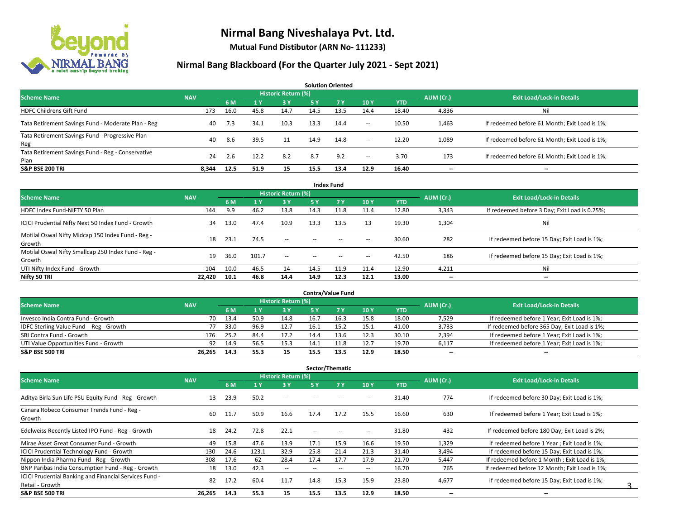

**Mutual Fund Distibutor (ARN No- 111233)**

| <b>Solution Oriented</b>                                  |            |      |      |                     |      |           |                          |            |                          |                                               |  |  |  |  |
|-----------------------------------------------------------|------------|------|------|---------------------|------|-----------|--------------------------|------------|--------------------------|-----------------------------------------------|--|--|--|--|
| <b>Scheme Name</b>                                        | <b>NAV</b> |      |      | Historic Return (%) |      |           |                          |            | AUM (Cr.)                | <b>Exit Load/Lock-in Details</b>              |  |  |  |  |
|                                                           |            | 6 M  | 71 Y | <b>3Y</b>           | 5 Y  | <b>7Y</b> | 10Y                      | <b>YTD</b> |                          |                                               |  |  |  |  |
| <b>HDFC Childrens Gift Fund</b>                           | 173        | 16.0 | 45.8 | 14.7                | 14.5 | 13.5      | 14.4                     | 18.40      | 4,836                    | Ni                                            |  |  |  |  |
| Tata Retirement Savings Fund - Moderate Plan - Reg        | 40         | 7.3  | 34.1 | 10.3                | 13.3 | 14.4      | $\sim$                   | 10.50      | 1,463                    | If redeemed before 61 Month; Exit Load is 1%; |  |  |  |  |
| Tata Retirement Savings Fund - Progressive Plan -<br>Reg  | 40         | 8.6  | 39.5 | 11                  | 14.9 | 14.8      | $\sim$                   | 12.20      | 1,089                    | If redeemed before 61 Month; Exit Load is 1%; |  |  |  |  |
| Tata Retirement Savings Fund - Reg - Conservative<br>Plan | 24         | 2.6  | 12.2 | 8.2                 | 8.7  | 9.2       | $\overline{\phantom{a}}$ | 3.70       | 173                      | If redeemed before 61 Month; Exit Load is 1%; |  |  |  |  |
| <b>S&amp;P BSE 200 TRI</b>                                | 8.344      | 12.5 | 51.9 | 15                  | 15.5 | 13.4      | 12.9                     | 16.40      | $\overline{\phantom{a}}$ | $- -$                                         |  |  |  |  |

| <b>Index Fund</b>                                             |            |      |       |                            |        |       |                          |            |                          |                                               |  |  |  |  |
|---------------------------------------------------------------|------------|------|-------|----------------------------|--------|-------|--------------------------|------------|--------------------------|-----------------------------------------------|--|--|--|--|
| <b>Scheme Name</b>                                            | <b>NAV</b> |      |       | <b>Historic Return (%)</b> |        |       |                          |            | AUM (Cr.)                | <b>Exit Load/Lock-in Details</b>              |  |  |  |  |
|                                                               |            | 6 M  | 71 Y  | 3Y                         | 5 Y    | 7V    | 10Y                      | <b>YTD</b> |                          |                                               |  |  |  |  |
| HDFC Index Fund-NIFTY 50 Plan                                 | 144        | 9.9  | 46.2  | 13.8                       | 14.3   | 11.8  | 11.4                     | 12.80      | 3,343                    | If redeemed before 3 Day; Exit Load is 0.25%; |  |  |  |  |
| ICICI Prudential Nifty Next 50 Index Fund - Growth            | 34         | 13.0 | 47.4  | 10.9                       | 13.3   | 13.5  | 13                       | 19.30      | 1,304                    | Nil                                           |  |  |  |  |
| Motilal Oswal Nifty Midcap 150 Index Fund - Reg -<br>Growth   | 18         | 23.1 | 74.5  | $\sim$                     | $-$    | $- -$ | $\!-$                    | 30.60      | 282                      | If redeemed before 15 Day; Exit Load is 1%;   |  |  |  |  |
| Motilal Oswal Nifty Smallcap 250 Index Fund - Reg -<br>Growth | 19         | 36.0 | 101.7 | $\sim$ $-$                 | $\sim$ | $- -$ | $\hspace{0.05cm} \ldots$ | 42.50      | 186                      | If redeemed before 15 Day; Exit Load is 1%;   |  |  |  |  |
| UTI Nifty Index Fund - Growth                                 | 104        | 10.0 | 46.5  | 14                         | 14.5   | 11.9  | 11.4                     | 12.90      | 4,211                    | Nil                                           |  |  |  |  |
| Nifty 50 TRI                                                  | 22,420     | 10.1 | 46.8  | 14.4                       | 14.9   | 12.3  | 12.1                     | 13.00      | $\overline{\phantom{a}}$ | $\overline{\phantom{a}}$                      |  |  |  |  |

| <b>Contra/Value Fund</b>                |            |      |      |                     |      |      |      |            |           |                                              |  |  |  |  |
|-----------------------------------------|------------|------|------|---------------------|------|------|------|------------|-----------|----------------------------------------------|--|--|--|--|
| <b>Scheme Name</b>                      | <b>NAV</b> |      |      | Historic Return (%) |      |      |      |            | AUM (Cr.) | <b>Exit Load/Lock-in Details</b>             |  |  |  |  |
|                                         |            | 6 M  |      | 3 Y                 |      |      | 10 Y | <b>YTD</b> |           |                                              |  |  |  |  |
| Invesco India Contra Fund - Growth      | 70         | 13.4 | 50.9 | 14.8                | 16.7 | 16.3 | 15.8 | 18.00      | 7,529     | If redeemed before 1 Year; Exit Load is 1%;  |  |  |  |  |
| IDFC Sterling Value Fund - Reg - Growth |            | 33.0 | 96.9 | 12.7                | 16.1 |      | 15.1 | 41.00      | 3,733     | If redeemed before 365 Day; Exit Load is 1%; |  |  |  |  |
| SBI Contra Fund - Growth                | 176        | 25.2 | 84.4 | 17.2                | 14.4 | 13.6 | 12.3 | 30.10      | 2,394     | If redeemed before 1 Year; Exit Load is 1%;  |  |  |  |  |
| UTI Value Opportunities Fund - Growth   | 92         | 14.9 | 56.5 | 15.3                | 14.1 | 11.8 | 12.7 | 19.70      | 6,117     | If redeemed before 1 Year; Exit Load is 1%;  |  |  |  |  |
| <b>S&amp;P BSE 500 TRI</b>              | 26.265     | 14.3 | 55.3 | 15                  | 15.5 | 13.5 | 12.9 | 18.50      | $- -$     | $-$                                          |  |  |  |  |

| Sector/Thematic                                        |            |      |       |                            |                          |                          |                          |            |                          |                                               |  |  |  |
|--------------------------------------------------------|------------|------|-------|----------------------------|--------------------------|--------------------------|--------------------------|------------|--------------------------|-----------------------------------------------|--|--|--|
| <b>Scheme Name</b>                                     | <b>NAV</b> |      |       | <b>Historic Return (%)</b> |                          |                          |                          |            | AUM (Cr.)                | <b>Exit Load/Lock-in Details</b>              |  |  |  |
|                                                        |            | 6 M  | 1 Y   | 3 Y                        | 5 Y                      | <b>7Y</b>                | 10Y                      | <b>YTD</b> |                          |                                               |  |  |  |
| Aditya Birla Sun Life PSU Equity Fund - Reg - Growth   | 13         | 23.9 | 50.2  | $- -$                      |                          |                          | --                       | 31.40      | 774                      | If redeemed before 30 Day; Exit Load is 1%;   |  |  |  |
| Canara Robeco Consumer Trends Fund - Reg -<br>Growth   | 60         | 11.7 | 50.9  | 16.6                       | 17.4                     | 17.2                     | 15.5                     | 16.60      | 630                      | If redeemed before 1 Year; Exit Load is 1%;   |  |  |  |
| Edelweiss Recently Listed IPO Fund - Reg - Growth      | 18         | 24.2 | 72.8  | 22.1                       | $\overline{\phantom{a}}$ | --                       | н.                       | 31.80      | 432                      | If redeemed before 180 Day; Exit Load is 2%;  |  |  |  |
| Mirae Asset Great Consumer Fund - Growth               | 49         | 15.8 | 47.6  | 13.9                       | 17.1                     | 15.9                     | 16.6                     | 19.50      | 1,329                    | If redeemed before 1 Year; Exit Load is 1%;   |  |  |  |
| <b>ICICI Prudential Technology Fund - Growth</b>       | 130        | 24.6 | 123.1 | 32.9                       | 25.8                     | 21.4                     | 21.3                     | 31.40      | 3,494                    | If redeemed before 15 Day; Exit Load is 1%;   |  |  |  |
| Nippon India Pharma Fund - Reg - Growth                | 308        | 17.6 | 62    | 28.4                       | 17.4                     | 17.7                     | 17.9                     | 21.70      | 5,447                    | If redeemed before 1 Month; Exit Load is 1%;  |  |  |  |
| BNP Paribas India Consumption Fund - Reg - Growth      | 18         | 13.0 | 42.3  | $\sim$                     |                          | $\overline{\phantom{a}}$ | $\overline{\phantom{a}}$ | 16.70      | 765                      | If redeemed before 12 Month: Exit Load is 1%: |  |  |  |
| ICICI Prudential Banking and Financial Services Fund - | 82         | 17.2 | 60.4  | 11.7                       | 14.8                     | 15.3                     | 15.9                     | 23.80      | 4,677                    | If redeemed before 15 Day; Exit Load is 1%;   |  |  |  |
| Retail - Growth                                        |            |      |       |                            |                          |                          |                          |            |                          |                                               |  |  |  |
| <b>S&amp;P BSE 500 TRI</b>                             | 26,265     | 14.3 | 55.3  | 15                         | 15.5                     | 13.5                     | 12.9                     | 18.50      | $\overline{\phantom{a}}$ | $\overline{\phantom{a}}$                      |  |  |  |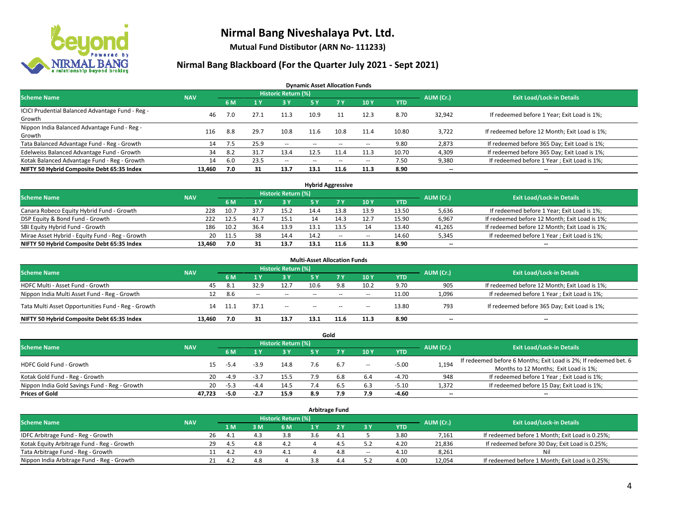

**Mutual Fund Distibutor (ARN No- 111233)**

### **Nirmal Bang Blackboard (For the Quarter July 2021 - Sept 2021)**

**Dynamic Asset Allocation Funds**

| <b>Scheme Name</b>                                         | <b>NAV</b> |      |      | Historic Return (%) |      |                          |       |       | AUM (Cr.)                | <b>Exit Load/Lock-in Details</b>              |
|------------------------------------------------------------|------------|------|------|---------------------|------|--------------------------|-------|-------|--------------------------|-----------------------------------------------|
|                                                            |            | 6 M  |      | <b>3Y</b>           | 5 Y  | 7 Y                      | 10Y   | YTD   |                          |                                               |
| ICICI Prudential Balanced Advantage Fund - Reg -<br>Growth | 46         | 7.0  | 27.1 | 11.3                | 10.9 |                          | 12.3  | 8.70  | 32,942                   | If redeemed before 1 Year; Exit Load is 1%;   |
| Nippon India Balanced Advantage Fund - Reg -<br>Growth     | 116        | 8.8  | 29.7 | 10.8                | 11.6 | 10.8                     | 11.4  | 10.80 | 3,722                    | If redeemed before 12 Month; Exit Load is 1%; |
| Tata Balanced Advantage Fund - Reg - Growth                | 14         | 7.5  | 25.9 | $\sim$              | $-$  | $\overline{\phantom{a}}$ | --    | 9.80  | 2,873                    | If redeemed before 365 Day; Exit Load is 1%;  |
| Edelweiss Balanced Advantage Fund - Growth                 | 34         | -8.2 | 31.7 | 13.4                | 12.5 | 11.4                     | 11.3  | 10.70 | 4,309                    | If redeemed before 365 Day; Exit Load is 1%;  |
| Kotak Balanced Advantage Fund - Reg - Growth               | 14         | 6.0  | 23.5 | $\sim$              | $-$  | $\overline{\phantom{a}}$ | $\!-$ | 7.50  | 9,380                    | If redeemed before 1 Year; Exit Load is 1%;   |
| NIFTY 50 Hybrid Composite Debt 65:35 Index                 | 13,460     | 7.0  | 31   | 13.7                | 13.1 | 11.6                     | 11.3  | 8.90  | $\overline{\phantom{a}}$ | --                                            |

| <b>Hybrid Aggressive</b>                        |            |            |      |                            |      |        |        |            |           |                                               |  |  |  |
|-------------------------------------------------|------------|------------|------|----------------------------|------|--------|--------|------------|-----------|-----------------------------------------------|--|--|--|
| <b>Scheme Name</b>                              | <b>NAV</b> |            |      | <b>Historic Return (%)</b> |      |        |        |            | AUM (Cr.) | <b>Exit Load/Lock-in Details</b>              |  |  |  |
|                                                 |            | 6 M        |      | 3 Y                        |      |        | 10Y    | <b>YTD</b> |           |                                               |  |  |  |
| Canara Robeco Equity Hybrid Fund - Growth       | 228        | 10.7       |      | 15.2                       | 14.4 | 13.8   | 13.9   | 13.50      | 5,636     | If redeemed before 1 Year; Exit Load is 1%;   |  |  |  |
| DSP Equity & Bond Fund - Growth                 | 222        | 12.5       | 41.7 | 15.1                       |      |        | 12.7   | 15.90      | 6,967     | If redeemed before 12 Month; Exit Load is 1%; |  |  |  |
| SBI Equity Hybrid Fund - Growth                 | 186        | 10.2       | 36.4 | 13.9                       |      |        | 14     | 13.40      | 41,265    | If redeemed before 12 Month; Exit Load is 1%; |  |  |  |
| Mirae Asset Hybrid - Equity Fund - Reg - Growth |            | 20<br>11.5 | 38   | 14.4                       | 14.2 | $\sim$ | $\sim$ | 14.60      | 5,345     | If redeemed before 1 Year; Exit Load is 1%;   |  |  |  |
| NIFTY 50 Hybrid Composite Debt 65:35 Index      | 13.460     | 7.0        | 31   | 13.7                       | 13.1 | 11.6   | 11.3   | 8.90       | $- -$     | $- -$                                         |  |  |  |

|                                                    |            |      |              |                            | <b>Multi-Asset Allocation Funds</b> |            |                          |            |                          |                                               |
|----------------------------------------------------|------------|------|--------------|----------------------------|-------------------------------------|------------|--------------------------|------------|--------------------------|-----------------------------------------------|
| <b>Scheme Name</b>                                 | <b>NAV</b> |      |              | <b>Historic Return (%)</b> |                                     |            |                          |            | AUM (Cr.)                | <b>Exit Load/Lock-in Details</b>              |
|                                                    |            | 6 M  |              | <b>3Y</b>                  | 5 Y                                 | <b>7 V</b> | 10Y                      | <b>YTD</b> |                          |                                               |
| HDFC Multi - Asset Fund - Growth                   | 45         | -8.1 | 32.9         | 12.7                       | 10.6                                | 9.8        | 10.2                     | 9.70       | 905                      | If redeemed before 12 Month; Exit Load is 1%; |
| Nippon India Multi Asset Fund - Reg - Growth       | 12         | 8.6  | <b>COLUM</b> | $\sim$                     | $-$                                 | $\sim$     | $\overline{\phantom{a}}$ | 11.00      | 1,096                    | If redeemed before 1 Year; Exit Load is 1%;   |
| Tata Multi Asset Opportunities Fund - Reg - Growth | 14         | 11.1 | 37.1         | $\sim$                     | $-$                                 | $\sim$     | $\sim$                   | 13.80      | 793                      | If redeemed before 365 Day; Exit Load is 1%;  |
| NIFTY 50 Hybrid Composite Debt 65:35 Index         | 13.460     | 7.0  |              | 13.7                       | 13.1                                | 11.6       | 11.3                     | 8.90       | $\overline{\phantom{a}}$ | --                                            |

|                                               |            |        |        |                            |     | Gold |        |            |           |                                                                  |
|-----------------------------------------------|------------|--------|--------|----------------------------|-----|------|--------|------------|-----------|------------------------------------------------------------------|
| <b>Scheme Name</b>                            | <b>NAV</b> |        |        | <b>Historic Return (%)</b> |     |      |        |            | AUM (Cr.) | <b>Exit Load/Lock-in Details</b>                                 |
|                                               |            | 6 M    |        | 3 Y                        | 5 Y |      | 10Y    | <b>YTD</b> |           |                                                                  |
| HDFC Gold Fund - Growth                       | 15         |        | $-3.9$ | 14.8                       | 7.6 | 6.7  |        | $-5.00$    |           | If redeemed before 6 Months; Exit Load is 2%; If redeemed bet. 6 |
|                                               |            | -5.4   |        |                            |     |      | $\sim$ |            | 1,194     | Months to 12 Months; Exit Load is 1%;                            |
| Kotak Gold Fund - Reg - Growth                | 20         | -4.9   | -3.,   | 15.5                       |     | 6.8  | 6.4    | $-4.70$    | 948       | If redeemed before 1 Year; Exit Load is 1%;                      |
| Nippon India Gold Savings Fund - Reg - Growth | 20         | $-5.3$ | $-4.4$ | 14.5                       |     | b.5  | 6.3    | $-5.10$    | 1,372     | If redeemed before 15 Day; Exit Load is 1%;                      |
| <b>Prices of Gold</b>                         | 47.723     | -5.0   | -2.7   | 15.9                       | 8.9 | 7.9  | 7.9    | -4.60      | $- -$     | $\overline{\phantom{a}}$                                         |

| <b>Arbitrage Fund</b>                      |            |            |     |                            |  |       |        |            |           |                                                 |  |  |  |
|--------------------------------------------|------------|------------|-----|----------------------------|--|-------|--------|------------|-----------|-------------------------------------------------|--|--|--|
| <b>Scheme Name</b>                         | <b>NAV</b> |            |     | <b>Historic Return (%)</b> |  |       |        |            | AUM (Cr.) | <b>Exit Load/Lock-in Details</b>                |  |  |  |
|                                            |            | 1 M        | 3 M | 6 M                        |  | י כי  | 3 Y    | <b>YTD</b> |           |                                                 |  |  |  |
| IDFC Arbitrage Fund - Reg - Growth         |            | 26<br>4.1  | 43  | 3.8                        |  | -4. . |        | 3.80       | 7,161     | If redeemed before 1 Month; Exit Load is 0.25%; |  |  |  |
| Kotak Equity Arbitrage Fund - Reg - Growth |            | 29<br>-4.5 | 4.8 | 4.2                        |  |       |        | 4.20       | 21,836    | If redeemed before 30 Day; Exit Load is 0.25%;  |  |  |  |
| Tata Arbitrage Fund - Reg - Growth         |            | 4.2        |     | 4.1                        |  |       | $\sim$ | 4.10       | 8.261     | Nil                                             |  |  |  |
| Nippon India Arbitrage Fund - Reg - Growth |            | 4.2        |     |                            |  |       |        | 4.00       | 12,054    | If redeemed before 1 Month; Exit Load is 0.25%; |  |  |  |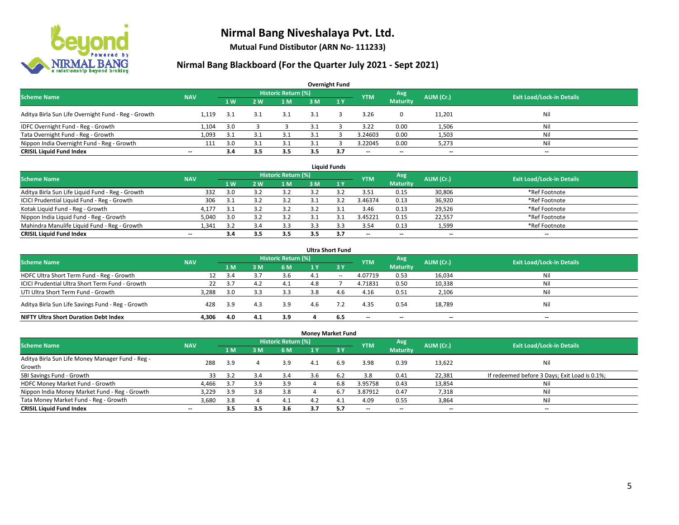

**Mutual Fund Distibutor (ARN No- 111233)**

| <b>Overnight Fund</b>                               |                          |      |                |                            |     |                |                          |                 |           |                                  |  |  |  |  |
|-----------------------------------------------------|--------------------------|------|----------------|----------------------------|-----|----------------|--------------------------|-----------------|-----------|----------------------------------|--|--|--|--|
| <b>Scheme Name</b>                                  | <b>NAV</b>               |      |                | <b>Historic Return (%)</b> |     |                | <b>YTM</b>               | Avg             | AUM (Cr.) | <b>Exit Load/Lock-in Details</b> |  |  |  |  |
|                                                     |                          | 1W   | 2 <sub>w</sub> | 1 M                        | 3 M | $\sqrt{1}$ $V$ |                          | <b>Maturity</b> |           |                                  |  |  |  |  |
| Aditya Birla Sun Life Overnight Fund - Reg - Growth | 1.119                    | -3.1 | 3.1            | 3.1                        |     |                | 3.26                     | $\mathbf{0}$    | 11,201    | Nil                              |  |  |  |  |
| IDFC Overnight Fund - Reg - Growth                  | 1,104                    | 3.0  |                |                            |     |                | 3.22                     | 0.00            | 1,506     | Nil                              |  |  |  |  |
| Tata Overnight Fund - Reg - Growth                  | 1,093                    | 3.1  |                |                            |     |                | 3.24603                  | 0.00            | 1,503     | Ni                               |  |  |  |  |
| Nippon India Overnight Fund - Reg - Growth          | 111                      | 3.0  |                | 3.1                        |     |                | 3.22045                  | 0.00            | 5,273     | Ni                               |  |  |  |  |
| <b>CRISIL Liquid Fund Index</b>                     | $\overline{\phantom{a}}$ | 3.4  | 3.5            | 3.5                        | 3.5 | 3.7            | $\overline{\phantom{a}}$ | $- -$           | $- -$     | $-$                              |  |  |  |  |

| <b>Liquid Funds</b>                              |            |     |     |                     |     |     |                          |                          |           |                                  |  |  |  |
|--------------------------------------------------|------------|-----|-----|---------------------|-----|-----|--------------------------|--------------------------|-----------|----------------------------------|--|--|--|
| <b>Scheme Name</b>                               | <b>NAV</b> |     |     | Historic Return (%) |     |     | <b>YTM</b>               | Avg                      | AUM (Cr.) | <b>Exit Load/Lock-in Details</b> |  |  |  |
|                                                  |            | 1W  | 2 W | 1 M                 | 3 M |     |                          | <b>Maturity</b>          |           |                                  |  |  |  |
| Aditya Birla Sun Life Liquid Fund - Reg - Growth | 332        | 3.0 |     |                     |     |     | 3.51                     | 0.15                     | 30,806    | *Ref Footnote                    |  |  |  |
| ICICI Prudential Liquid Fund - Reg - Growth      | 306        | 3.1 |     |                     |     |     | 3.46374                  | 0.13                     | 36,920    | *Ref Footnote                    |  |  |  |
| Kotak Liquid Fund - Reg - Growth                 | 4,177      | 3.1 |     | 3.2                 |     |     | 3.46                     | 0.13                     | 29,526    | *Ref Footnote                    |  |  |  |
| Nippon India Liquid Fund - Reg - Growth          | 5,040      | 3.0 |     |                     |     |     | 3.45221                  | 0.15                     | 22,557    | *Ref Footnote                    |  |  |  |
| Mahindra Manulife Liquid Fund - Reg - Growth     | 1.341      | 35  |     | 3.3                 |     |     | 3.54                     | 0.13                     | 1,599     | *Ref Footnote                    |  |  |  |
| <b>CRISIL Liquid Fund Index</b>                  | $- -$      | 3.4 | 3.5 | 3.5                 |     | 3.7 | $\overline{\phantom{a}}$ | $\overline{\phantom{a}}$ | $- -$     | $\overline{\phantom{a}}$         |  |  |  |

| <b>Ultra Short Fund</b>                           |            |       |     |                            |     |       |                          |                          |                          |                                  |  |  |  |
|---------------------------------------------------|------------|-------|-----|----------------------------|-----|-------|--------------------------|--------------------------|--------------------------|----------------------------------|--|--|--|
| <b>Scheme Name</b>                                | <b>NAV</b> |       |     | <b>Historic Return (%)</b> |     |       | <b>YTM</b>               | Avg                      | AUM (Cr.)                | <b>Exit Load/Lock-in Details</b> |  |  |  |
|                                                   |            | 1 M   | : M | 6 M                        | 1 Y | $-3V$ |                          | <b>Maturity</b>          |                          |                                  |  |  |  |
| HDFC Ultra Short Term Fund - Reg - Growth         |            | 3.4   |     | 3.6                        | 4.1 | $- -$ | 4.07719                  | 0.53                     | 16,034                   | Nil                              |  |  |  |
| ICICI Prudential Ultra Short Term Fund - Growth   | 22         | - 3.7 |     | 4.1                        | 4.8 |       | 4.71831                  | 0.50                     | 10,338                   | Nil                              |  |  |  |
| UTI Ultra Short Term Fund - Growth                | 3,288      | 3.0   |     | 3.3                        | 3.8 | 4.6   | 4.16                     | 0.51                     | 2,106                    | Nil                              |  |  |  |
| Aditya Birla Sun Life Savings Fund - Reg - Growth | 428        | 3.9   | 4.3 | 3.9                        | 4.6 |       | 4.35                     | 0.54                     | 18,789                   | Nil                              |  |  |  |
| <b>NIFTY Ultra Short Duration Debt Index</b>      | 4.306      | 4.0   | 4.1 | 3.9                        |     | 6.5   | $\overline{\phantom{a}}$ | $\overline{\phantom{a}}$ | $\overline{\phantom{a}}$ | $-$                              |  |  |  |

| <b>Money Market Fund</b>                         |            |                |     |                     |      |             |                          |                          |                          |                                               |  |  |  |  |
|--------------------------------------------------|------------|----------------|-----|---------------------|------|-------------|--------------------------|--------------------------|--------------------------|-----------------------------------------------|--|--|--|--|
| <b>Scheme Name</b>                               | <b>NAV</b> |                |     | Historic Return (%) |      |             | <b>YTM</b>               | Avg                      | AUM (Cr.)                | <b>Exit Load/Lock-in Details</b>              |  |  |  |  |
|                                                  |            | 1 <sub>M</sub> | в м | 6 M                 | 71 Y | <b>73 Y</b> |                          | <b>Maturity</b>          |                          |                                               |  |  |  |  |
| Aditya Birla Sun Life Money Manager Fund - Reg - | 288        | 3.9            |     | 3.9                 | 4.1  | 6.9         | 3.98                     | 0.39                     | 13,622                   | Nil                                           |  |  |  |  |
| Growth                                           |            |                |     |                     |      |             |                          |                          |                          |                                               |  |  |  |  |
| SBI Savings Fund - Growth                        | 33         | 3.2            | 3.4 | 3.4                 | 3.b  | 6.2         | 3.8                      | 0.41                     | 22,381                   | If redeemed before 3 Days; Exit Load is 0.1%; |  |  |  |  |
| HDFC Money Market Fund - Growth                  | 4,466      | 3.7            | 3.9 | 3.9                 |      | 6.8         | 3.95758                  | 0.43                     | 13,854                   | Nil                                           |  |  |  |  |
| Nippon India Money Market Fund - Reg - Growth    | 3,229      | 3.9            | 3.8 | 3.8                 |      | 6.7         | 3.87912                  | 0.47                     | 7,318                    | Ni                                            |  |  |  |  |
| Tata Money Market Fund - Reg - Growth            | 3,680      | 3.8            |     | 4.1                 | 4.2  | 4.1         | 4.09                     | 0.55                     | 3,864                    | Nil                                           |  |  |  |  |
| <b>CRISIL Liquid Fund Index</b>                  | $- -$      | 3.5            | 3.5 | 3.6                 | 3.7  | -5.7        | $\overline{\phantom{a}}$ | $\overline{\phantom{a}}$ | $\overline{\phantom{a}}$ | $-$                                           |  |  |  |  |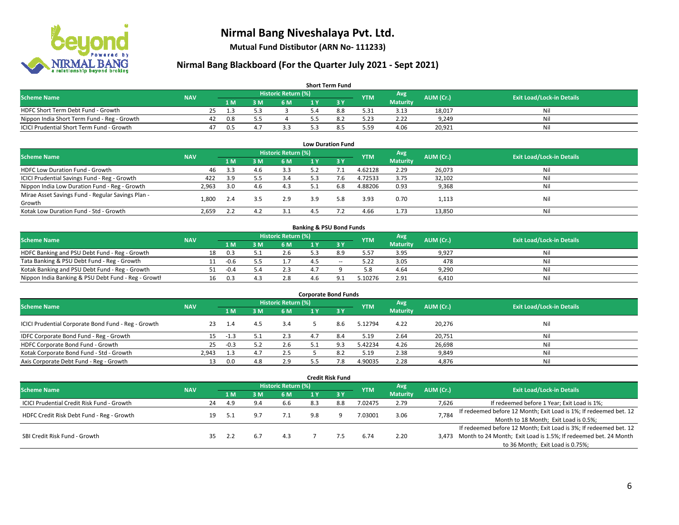

**Mutual Fund Distibutor (ARN No- 111233)**

| <b>Short Term Fund</b>                           |            |    |     |     |                     |  |     |            |                 |           |                                  |  |  |  |
|--------------------------------------------------|------------|----|-----|-----|---------------------|--|-----|------------|-----------------|-----------|----------------------------------|--|--|--|
| <b>Scheme Name</b>                               | <b>NAV</b> |    |     |     | Historic Return (%) |  |     | <b>YTM</b> | Avg \           | AUM (Cr.) | <b>Exit Load/Lock-in Details</b> |  |  |  |
|                                                  |            |    | 1 M | в м | 6 M                 |  |     |            | <b>Maturity</b> |           |                                  |  |  |  |
| HDFC Short Term Debt Fund - Growth               |            | 25 | 1.3 |     |                     |  | 8.8 | 5.31       | 3.13            | 18,017    | Nil                              |  |  |  |
| Nippon India Short Term Fund - Reg - Growth      |            | 42 | 0.8 |     |                     |  |     | 5.23       | 2.22            | 9.249     | Nil                              |  |  |  |
| <b>ICICI Prudential Short Term Fund - Growth</b> |            | 47 | 0.5 | 4.  |                     |  |     | 5.59       | 4.06            | 20,921    | Nil                              |  |  |  |

| <b>Low Duration Fund</b>                          |            |     |     |                            |     |      |            |                 |           |                                  |  |  |  |
|---------------------------------------------------|------------|-----|-----|----------------------------|-----|------|------------|-----------------|-----------|----------------------------------|--|--|--|
| <b>Scheme Name</b>                                | <b>NAV</b> |     |     | <b>Historic Return (%)</b> |     |      | <b>YTM</b> | Avg             | AUM (Cr.) | <b>Exit Load/Lock-in Details</b> |  |  |  |
|                                                   |            | 1 M | 3 M | 6 M                        |     | -3 Y |            | <b>Maturity</b> |           |                                  |  |  |  |
| HDFC Low Duration Fund - Growth                   | 46         | 3.3 | 4.6 | 3.3                        | 5.2 |      | 4.62128    | 2.29            | 26,073    | Nil                              |  |  |  |
| ICICI Prudential Savings Fund - Reg - Growth      | 422        | 3.9 |     | 3.4                        | 5.3 | 7.6  | 4.72533    | 3.75            | 32,102    | Nil                              |  |  |  |
| Nippon India Low Duration Fund - Reg - Growth     | 2,963      | 3.0 | 4.6 | 4.3                        | 5.1 | 6.8  | 4.88206    | 0.93            | 9,368     | Nil                              |  |  |  |
| Mirae Asset Savings Fund - Regular Savings Plan - | 1.800      |     |     | 2.9                        | 3.9 | 5.8  | 3.93       | 0.70            |           | Nil                              |  |  |  |
| Growth                                            |            | 2.4 |     |                            |     |      |            |                 | 1,113     |                                  |  |  |  |
| Kotak Low Duration Fund - Std - Growth            | 2,659      |     | 4.  | 3.1                        |     |      | 4.66       | 1.73            | 13,850    | Nil                              |  |  |  |

| <b>Banking &amp; PSU Bond Funds</b>                 |            |    |        |     |                            |     |       |            |                 |           |                                  |  |  |
|-----------------------------------------------------|------------|----|--------|-----|----------------------------|-----|-------|------------|-----------------|-----------|----------------------------------|--|--|
| <b>Scheme Name</b>                                  | <b>NAV</b> |    |        |     | <b>Historic Return (%)</b> |     |       | <b>YTM</b> | Avg             | AUM (Cr.) | <b>Exit Load/Lock-in Details</b> |  |  |
|                                                     |            |    | 1 M.   | ያ M | 6 M                        |     |       |            | <b>Maturity</b> |           |                                  |  |  |
| HDFC Banking and PSU Debt Fund - Reg - Growth       |            | 18 | 0.3    |     | 2.6                        |     | 8.9   | 5.57       | 3.95            | 9,927     | Ni                               |  |  |
| Tata Banking & PSU Debt Fund - Reg - Growth         |            |    | $-0.6$ |     |                            |     | $- -$ | 5.22       | 3.05            | 478       | Ni                               |  |  |
| Kotak Banking and PSU Debt Fund - Reg - Growth      |            |    | $-0.4$ |     |                            | 47  |       | 5.8        | 4.64            | 9,290     | Nil                              |  |  |
| Nippon India Banking & PSU Debt Fund - Reg - Growth |            | 16 | 0.3    |     | 2.8                        | 4 h |       | .10276     | 2.91            | 6.410     | Ni                               |  |  |

| <b>Corporate Bond Funds</b>                         |            |        |     |                     |     |      |            |                        |           |                                  |  |  |
|-----------------------------------------------------|------------|--------|-----|---------------------|-----|------|------------|------------------------|-----------|----------------------------------|--|--|
| <b>Scheme Name</b>                                  | <b>NAV</b> |        |     | Historic Return (%) |     |      | <b>YTM</b> | Avg<br><b>Maturity</b> | AUM (Cr.) | <b>Exit Load/Lock-in Details</b> |  |  |
|                                                     |            | 1 M    | 3 M | 6 M                 |     | -3 Y |            |                        |           |                                  |  |  |
| ICICI Prudential Corporate Bond Fund - Reg - Growth | 23         | -1.4   | 4.5 | 3.4                 |     | 8.6  | 5.12794    | 4.22                   | 20,276    | Nil                              |  |  |
| IDFC Corporate Bond Fund - Reg - Growth             | 15.        | -1.3   |     | 2.3                 | 4.7 | 8.4  | 5.19       | 2.64                   | 20,751    | Nil                              |  |  |
| HDFC Corporate Bond Fund - Growth                   | 25         | $-0.3$ |     | 2.6                 | 51  |      | 5.42234    | 4.26                   | 26,698    | Nil                              |  |  |
| Kotak Corporate Bond Fund - Std - Growth            | 2.943      | 1.3    | 4.7 | 2.5                 |     |      | 5.19       | 2.38                   | 9,849     | Nil                              |  |  |
| Axis Corporate Debt Fund - Reg - Growth             | 13         | 0.0    | 4.8 | 2.9                 |     | 7.8  | 4.90035    | 2.28                   | 4,876     | Nil                              |  |  |

|                                                   |            |     |     |      |                            |     | <b>Credit Risk Fund</b> |            |                        |           |                                                                       |
|---------------------------------------------------|------------|-----|-----|------|----------------------------|-----|-------------------------|------------|------------------------|-----------|-----------------------------------------------------------------------|
| <b>Scheme Name</b>                                | <b>NAV</b> |     |     |      | <b>Historic Return (%)</b> |     |                         | <b>YTM</b> | Avg<br><b>Maturity</b> | AUM (Cr.) | <b>Exit Load/Lock-in Details</b>                                      |
|                                                   |            |     | 1 M | ١M   | 6 M                        |     | 3Y                      |            |                        |           |                                                                       |
| <b>ICICI Prudential Credit Risk Fund - Growth</b> |            | 24  | 4.9 | 9.4  | 6.6                        | 8.3 | 8.8                     | 7.02475    | 2.79                   | 7,626     | If redeemed before 1 Year; Exit Load is 1%;                           |
| HDFC Credit Risk Debt Fund - Reg - Growth         |            | 19  | 5.1 | 9.7  | 7.1                        | 9.8 | Q                       | 7.03001    | 3.06                   | 7,784     | If redeemed before 12 Month; Exit Load is 1%; If redeemed bet. 12     |
|                                                   |            |     |     |      |                            |     |                         |            |                        |           | Month to 18 Month; Exit Load is 0.5%;                                 |
|                                                   |            |     |     |      |                            |     |                         |            |                        |           | If redeemed before 12 Month; Exit Load is 3%; If redeemed bet. 12     |
| SBI Credit Risk Fund - Growth                     |            | 35. | 2.2 | -6.7 | 4.3                        |     |                         | 6.74       | 2.20                   |           | 3,473 Month to 24 Month; Exit Load is 1.5%; If redeemed bet. 24 Month |
|                                                   |            |     |     |      |                            |     |                         |            |                        |           | to 36 Month; Exit Load is 0.75%;                                      |